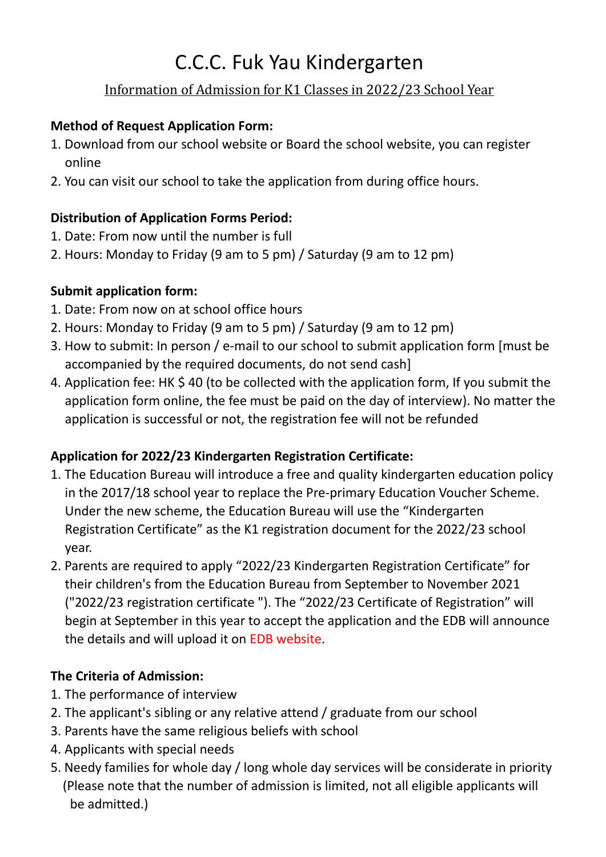# C.C.C. Fuk Yau Kindergarten

## [Information of](http://fykdc.ccc.edu.hk/wp-content/uploads/2017/10/2018_19-K1.pdf) Admission for K1 Classes in 2022/23 School Year

#### **Method of Request Application Form:**

- 1. Download from our school website or Board the school website, you can register online
- 2. You can visit our school to take the application from during office hours.

## **Distribution of Application Forms Period:**

- 1. Date: From now until the number is full
- 2. Hours: Monday to Friday (9 am to 5 pm) / Saturday (9 am to 12 pm)

## **Submit application form:**

- 1. Date: From now on at school office hours
- 2. Hours: Monday to Friday (9 am to 5 pm) / Saturday (9 am to 12 pm)
- 3. How to submit: In person / e-mail to our school to submit application form [must be accompanied by the required documents, do not send cash]
- 4. Application fee: HK \$ 40 (to be collected with the application form, If you submit the application form online, the fee must be paid on the day of interview). No matter the application is successful or not, the registration fee will not be refunded

## **Application for 2022/23 Kindergarten Registration Certificate:**

- 1. The Education Bureau will introduce a free and quality kindergarten education policy in the 2017/18 school year to replace the Pre-primary Education Voucher Scheme. Under the new scheme, the Education Bureau will use the "Kindergarten Registration Certificate" as the K1 registration document for the 2022/23 school year.
- 2. Parents are required to apply "2022/23 Kindergarten Registration Certificate" for their children's from the Education Bureau from September to November 2021 ("2022/23 registration certificate "). The "2022/23 Certificate of Registration" will begin at September in this year to accept the application and the EDB will announce the details and will upload it on EDB website.

## **The Criteria of Admission:**

- 1. The performance of interview
- 2. The applicant's sibling or any relative attend / graduate from our school
- 3. Parents have the same religious beliefs with school
- 4. Applicants with special needs
- 5. Needy families for whole day / long whole day services will be considerate in priority (Please note that the number of admission is limited, not all eligible applicants will be admitted.)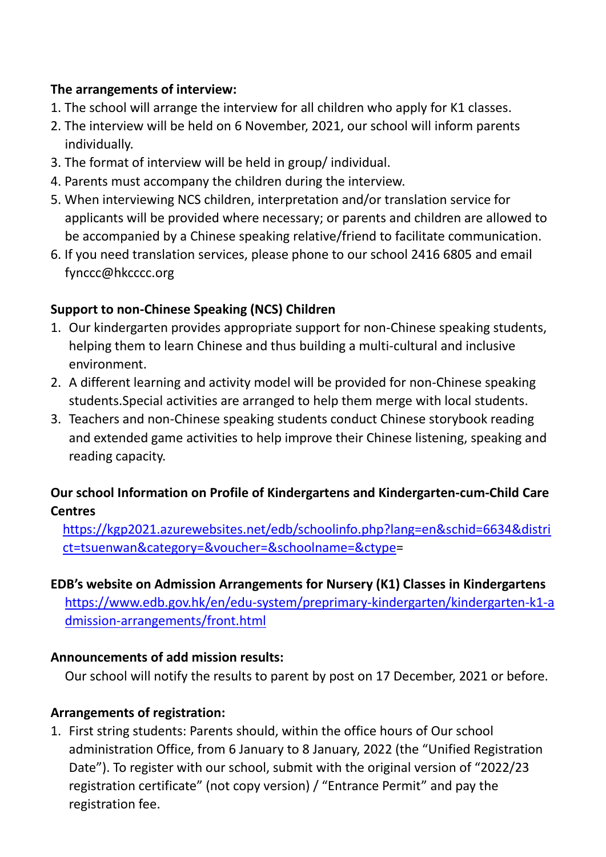#### **The arrangements of interview:**

- 1. The school will arrange the interview for all children who apply for K1 classes.
- 2. The interview will be held on 6 November, 2021, our school will inform parents individually.
- 3. The format of interview will be held in group/ individual.
- 4. Parents must accompany the children during the interview.
- 5. When interviewing NCS children, interpretation and/or translation service for applicants will be provided where necessary; or parents and children are allowed to be accompanied by a Chinese speaking relative/friend to facilitate communication.
- 6. If you need translation services, please phone to our school 2416 6805 and email [fynccc@hkcccc.org](mailto:fynccc@hkcccc.org)

## **Support to non-Chinese Speaking (NCS) Children**

- 1. Our kindergarten provides appropriate support for non-Chinese speaking students, helping them to learn Chinese and thus building a multi-cultural and inclusive environment.
- 2. A different learning and activity model will be provided for non-Chinese speaking students.Special activities are arranged to help them merge with local students.
- 3. Teachers and non-Chinese speaking students conduct Chinese storybook reading and extended game activities to help improve their Chinese listening, speaking and reading capacity.

## **Our school Information on Profile of Kindergartens and Kindergarten-cum-Child Care Centres**

[https://kgp2021.azurewebsites.net/edb/schoolinfo.php?lang=en&schid=6634&distri](https://kgp2021.azurewebsites.net/edb/schoolinfo.php?lang=en&schid=6634&district=tsuenwan&category=&voucher=&schoolname=&ctype) [ct=tsuenwan&category=&voucher=&schoolname=&ctype=](https://kgp2021.azurewebsites.net/edb/schoolinfo.php?lang=en&schid=6634&district=tsuenwan&category=&voucher=&schoolname=&ctype)

## **EDB's website on Admission Arrangements for Nursery (K1) Classes in Kindergartens**

[https://www.edb.gov.hk/en/edu-system/preprimary-kindergarten/kindergarten-k1-a](https://www.edb.gov.hk/en/edu-system/preprimary-kindergarten/kindergarten-k1-admission-arrangements/front.html) [dmission-arrangements/front.html](https://www.edb.gov.hk/en/edu-system/preprimary-kindergarten/kindergarten-k1-admission-arrangements/front.html)

## **Announcements of add mission results:**

Our school will notify the results to parent by post on 17 December, 2021 or before.

## **Arrangements of registration:**

1. First string students: Parents should, within the office hours of Our school administration Office, from 6 January to 8 January, 2022 (the "Unified Registration Date"). To register with our school, submit with the original version of "2022/23 registration certificate" (not copy version) / "Entrance Permit" and pay the registration fee.